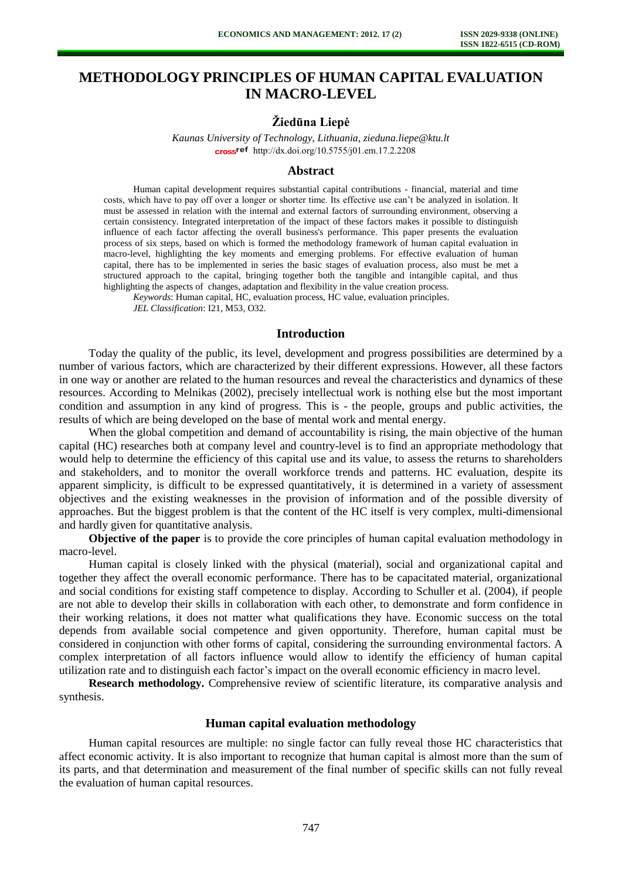# **METHODOLOGY PRINCIPLES OF HUMAN CAPITAL EVALUATION IN MACRO-LEVEL**

## **Žiedūna Liepė**

*Kaunas University of Technology, Lithuania, zieduna.liepe@ktu.lt*  [http://dx.doi.org/10.5755/j01.e](http://dx.doi.org/10.5755/j01.em.17.2.2208)m.17.2.2208

#### **Abstract**

Human capital development requires substantial capital contributions - financial, material and time costs, which have to pay off over a longer or shorter time. Its effective use can't be analyzed in isolation. It must be assessed in relation with the internal and external factors of surrounding environment, observing a certain consistency. Integrated interpretation of the impact of these factors makes it possible to distinguish influence of each factor affecting the overall business's performance. This paper presents the evaluation process of six steps, based on which is formed the methodology framework of human capital evaluation in macro-level, highlighting the key moments and emerging problems. For effective evaluation of human capital, there has to be implemented in series the basic stages of evaluation process, also must be met a structured approach to the capital, bringing together both the tangible and intangible capital, and thus highlighting the aspects of changes, adaptation and flexibility in the value creation process.

*Keywords*: Human capital, HC, evaluation process, HC value, evaluation principles.

*JEL Classification*: I21, M53, O32.

#### **Introduction**

Today the quality of the public, its level, development and progress possibilities are determined by a number of various factors, which are characterized by their different expressions. However, all these factors in one way or another are related to the human resources and reveal the characteristics and dynamics of these resources. According to Melnikas (2002), precisely intellectual work is nothing else but the most important condition and assumption in any kind of progress. This is - the people, groups and public activities, the results of which are being developed on the base of mental work and mental energy.

When the global competition and demand of accountability is rising, the main objective of the human capital (HC) researches both at company level and country-level is to find an appropriate methodology that would help to determine the efficiency of this capital use and its value, to assess the returns to shareholders and stakeholders, and to monitor the overall workforce trends and patterns. HC evaluation, despite its apparent simplicity, is difficult to be expressed quantitatively, it is determined in a variety of assessment objectives and the existing weaknesses in the provision of information and of the possible diversity of approaches. But the biggest problem is that the content of the HC itself is very complex, multi-dimensional and hardly given for quantitative analysis.

**Objective of the paper** is to provide the core principles of human capital evaluation methodology in macro-level.

Human capital is closely linked with the physical (material), social and organizational capital and together they affect the overall economic performance. There has to be capacitated material, organizational and social conditions for existing staff competence to display. According to Schuller et al. (2004), if people are not able to develop their skills in collaboration with each other, to demonstrate and form confidence in their working relations, it does not matter what qualifications they have. Economic success on the total depends from available social competence and given opportunity. Therefore, human capital must be considered in conjunction with other forms of capital, considering the surrounding environmental factors. A complex interpretation of all factors influence would allow to identify the efficiency of human capital utilization rate and to distinguish each factor's impact on the overall economic efficiency in macro level.

**Research methodology.** Comprehensive review of scientific literature, its comparative analysis and synthesis.

#### **Human capital evaluation methodology**

Human capital resources are multiple: no single factor can fully reveal those HC characteristics that affect economic activity. It is also important to recognize that human capital is almost more than the sum of its parts, and that determination and measurement of the final number of specific skills can not fully reveal the evaluation of human capital resources.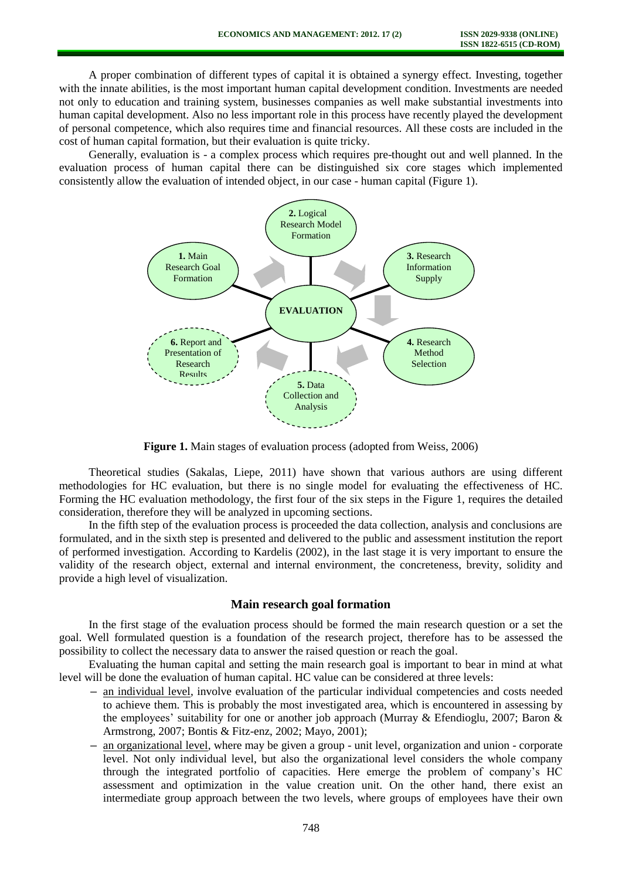A proper combination of different types of capital it is obtained a synergy effect. Investing, together with the innate abilities, is the most important human capital development condition. Investments are needed not only to education and training system, businesses companies as well make substantial investments into human capital development. Also no less important role in this process have recently played the development of personal competence, which also requires time and financial resources. All these costs are included in the cost of human capital formation, but their evaluation is quite tricky.

Generally, evaluation is - a complex process which requires pre-thought out and well planned. In the evaluation process of human capital there can be distinguished six core stages which implemented consistently allow the evaluation of intended object, in our case - human capital (Figure 1).



**Figure 1.** Main stages of evaluation process (adopted from Weiss, 2006)

Theoretical studies (Sakalas, Liepe, 2011) have shown that various authors are using different methodologies for HC evaluation, but there is no single model for evaluating the effectiveness of HC. Forming the HC evaluation methodology, the first four of the six steps in the Figure 1, requires the detailed consideration, therefore they will be analyzed in upcoming sections.

In the fifth step of the evaluation process is proceeded the data collection, analysis and conclusions are formulated, and in the sixth step is presented and delivered to the public and assessment institution the report of performed investigation. According to Kardelis (2002), in the last stage it is very important to ensure the validity of the research object, external and internal environment, the concreteness, brevity, solidity and provide a high level of visualization.

#### **Main research goal formation**

In the first stage of the evaluation process should be formed the main research question or a set the goal. Well formulated question is a foundation of the research project, therefore has to be assessed the possibility to collect the necessary data to answer the raised question or reach the goal.

Evaluating the human capital and setting the main research goal is important to bear in mind at what level will be done the evaluation of human capital. HC value can be considered at three levels:

- **–** an individual level, involve evaluation of the particular individual competencies and costs needed to achieve them. This is probably the most investigated area, which is encountered in assessing by the employees' suitability for one or another job approach (Murray & Efendioglu, 2007; Baron & Armstrong, 2007; Bontis & Fitz-enz, 2002; Mayo, 2001);
- **–** an organizational level, where may be given a group unit level, organization and union corporate level. Not only individual level, but also the organizational level considers the whole company through the integrated portfolio of capacities. Here emerge the problem of company's HC assessment and optimization in the value creation unit. On the other hand, there exist an intermediate group approach between the two levels, where groups of employees have their own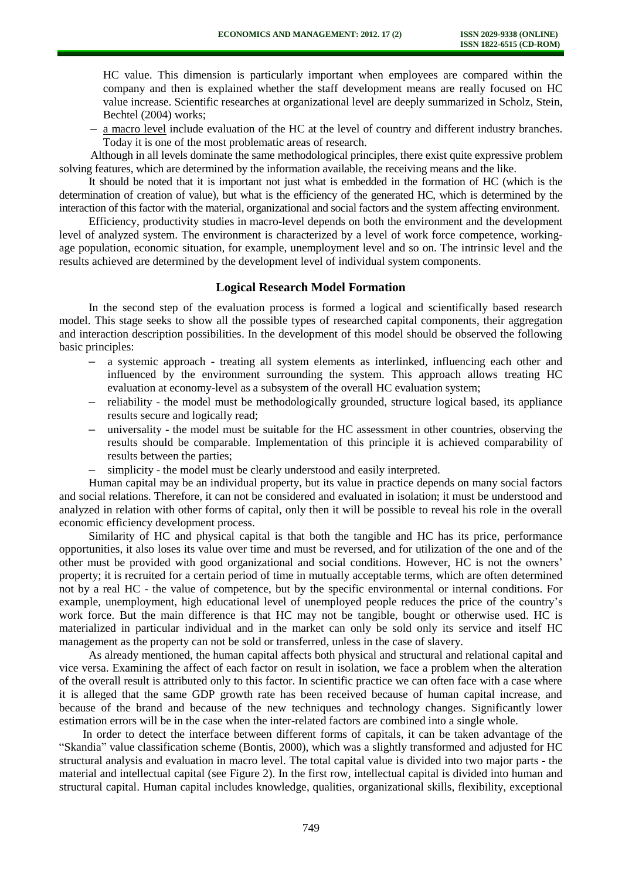HC value. This dimension is particularly important when employees are compared within the company and then is explained whether the staff development means are really focused on HC value increase. Scientific researches at organizational level are deeply summarized in Scholz, Stein, Bechtel (2004) works;

**–** a macro level include evaluation of the HC at the level of country and different industry branches. Today it is one of the most problematic areas of research.

Although in all levels dominate the same methodological principles, there exist quite expressive problem solving features, which are determined by the information available, the receiving means and the like.

It should be noted that it is important not just what is embedded in the formation of HC (which is the determination of creation of value), but what is the efficiency of the generated HC, which is determined by the interaction of this factor with the material, organizational and social factors and the system affecting environment.

Efficiency, productivity studies in macro-level depends on both the environment and the development level of analyzed system. The environment is characterized by a level of work force competence, workingage population, economic situation, for example, unemployment level and so on. The intrinsic level and the results achieved are determined by the development level of individual system components.

#### **Logical Research Model Formation**

In the second step of the evaluation process is formed a logical and scientifically based research model. This stage seeks to show all the possible types of researched capital components, their aggregation and interaction description possibilities. In the development of this model should be observed the following basic principles:

- **–** a systemic approach treating all system elements as interlinked, influencing each other and influenced by the environment surrounding the system. This approach allows treating HC evaluation at economy-level as a subsystem of the overall HC evaluation system;
- **–** reliability the model must be methodologically grounded, structure logical based, its appliance results secure and logically read;
- **–** universality the model must be suitable for the HC assessment in other countries, observing the results should be comparable. Implementation of this principle it is achieved comparability of results between the parties;
- **–** simplicity the model must be clearly understood and easily interpreted.

Human capital may be an individual property, but its value in practice depends on many social factors and social relations. Therefore, it can not be considered and evaluated in isolation; it must be understood and analyzed in relation with other forms of capital, only then it will be possible to reveal his role in the overall economic efficiency development process.

Similarity of HC and physical capital is that both the tangible and HC has its price, performance opportunities, it also loses its value over time and must be reversed, and for utilization of the one and of the other must be provided with good organizational and social conditions. However, HC is not the owners' property; it is recruited for a certain period of time in mutually acceptable terms, which are often determined not by a real HC - the value of competence, but by the specific environmental or internal conditions. For example, unemployment, high educational level of unemployed people reduces the price of the country's work force. But the main difference is that HC may not be tangible, bought or otherwise used. HC is materialized in particular individual and in the market can only be sold only its service and itself HC management as the property can not be sold or transferred, unless in the case of slavery.

As already mentioned, the human capital affects both physical and structural and relational capital and vice versa. Examining the affect of each factor on result in isolation, we face a problem when the alteration of the overall result is attributed only to this factor. In scientific practice we can often face with a case where it is alleged that the same GDP growth rate has been received because of human capital increase, and because of the brand and because of the new techniques and technology changes. Significantly lower estimation errors will be in the case when the inter-related factors are combined into a single whole.

In order to detect the interface between different forms of capitals, it can be taken advantage of the "Skandia" value classification scheme (Bontis, 2000), which was a slightly transformed and adjusted for HC structural analysis and evaluation in macro level. The total capital value is divided into two major parts - the material and intellectual capital (see Figure 2). In the first row, intellectual capital is divided into human and structural capital. Human capital includes knowledge, qualities, organizational skills, flexibility, exceptional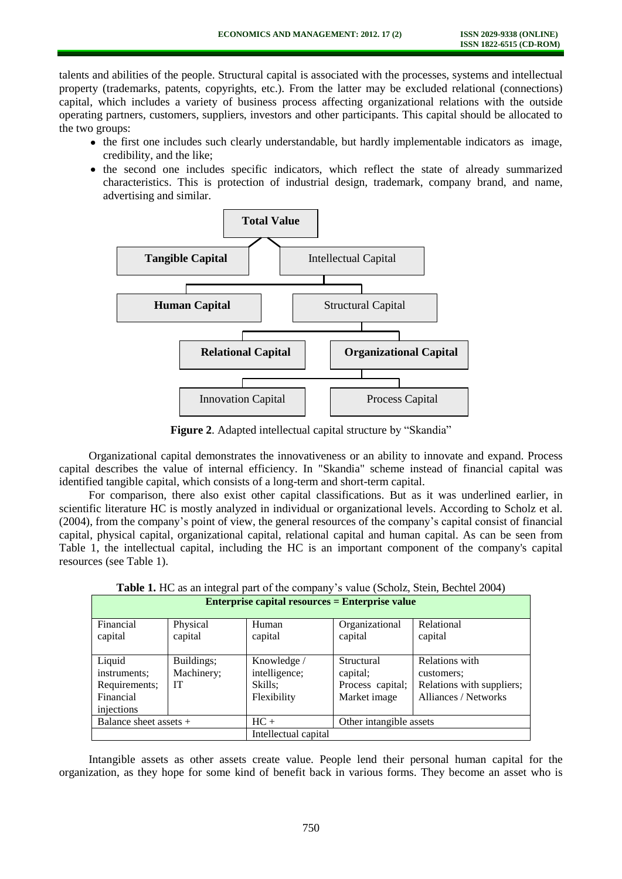talents and abilities of the people. Structural capital is associated with the processes, systems and intellectual property (trademarks, patents, copyrights, etc.). From the latter may be excluded relational (connections) capital, which includes a variety of business process affecting organizational relations with the outside operating partners, customers, suppliers, investors and other participants. This capital should be allocated to the two groups:

- the first one includes such clearly understandable, but hardly implementable indicators as image, credibility, and the like;
- the second one includes specific indicators, which reflect the state of already summarized characteristics. This is protection of industrial design, trademark, company brand, and name, advertising and similar.



**Figure 2**. Adapted intellectual capital structure by "Skandia"

Organizational capital demonstrates the innovativeness or an ability to innovate and expand. Process capital describes the value of internal efficiency. In "Skandia" scheme instead of financial capital was identified tangible capital, which consists of a long-term and short-term capital.

For comparison, there also exist other capital classifications. But as it was underlined earlier, in scientific literature HC is mostly analyzed in individual or organizational levels. According to Scholz et al. (2004), from the company's point of view, the general resources of the company's capital consist of financial capital, physical capital, organizational capital, relational capital and human capital. As can be seen from Table 1, the intellectual capital, including the HC is an important component of the company's capital resources (see Table 1).

| Enterprise capital resources = Enterprise value |            |                      |                         |                           |
|-------------------------------------------------|------------|----------------------|-------------------------|---------------------------|
| Financial                                       | Physical   | Human                | Organizational          | Relational                |
| capital                                         | capital    | capital              | capital                 | capital                   |
|                                                 |            |                      |                         |                           |
| Liquid                                          | Buildings; | Knowledge /          | Structural              | Relations with            |
| instruments;                                    | Machinery; | intelligence;        | capital;                | customers;                |
| Requirements;                                   | IT         | Skills:              | Process capital;        | Relations with suppliers; |
| Financial                                       |            | Flexibility          | Market image            | Alliances / Networks      |
| injections                                      |            |                      |                         |                           |
| Balance sheet assets +                          |            | $HC +$               | Other intangible assets |                           |
|                                                 |            | Intellectual capital |                         |                           |

**Table 1.** HC as an integral part of the company's value (Scholz, Stein, Bechtel 2004) **Enterprise capital resources = Enterprise value**

Intangible assets as other assets create value. People lend their personal human capital for the organization, as they hope for some kind of benefit back in various forms. They become an asset who is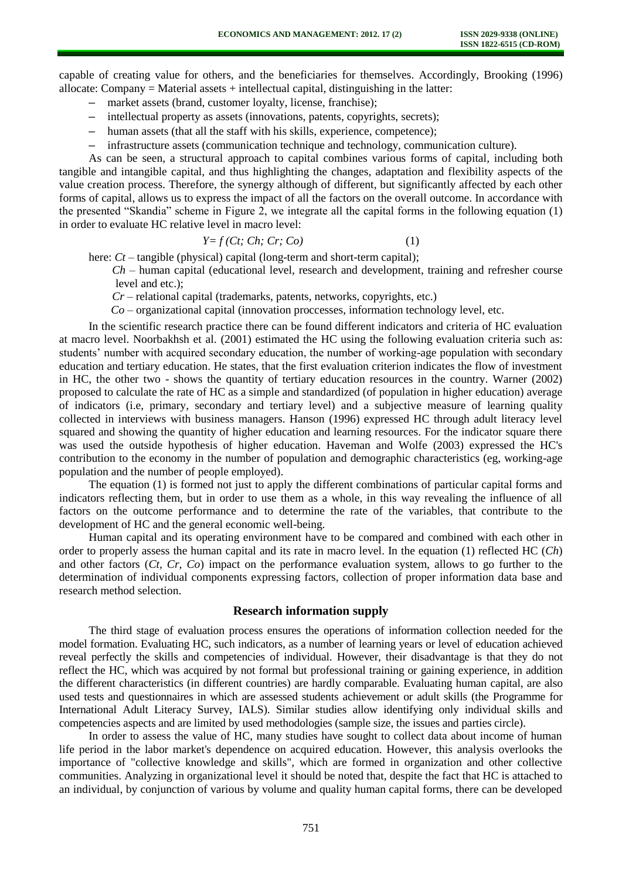capable of creating value for others, and the beneficiaries for themselves. Accordingly, Brooking (1996) allocate: Company  $=$  Material assets  $+$  intellectual capital, distinguishing in the latter:

- **–** market assets (brand, customer loyalty, license, franchise);
- **–** intellectual property as assets (innovations, patents, copyrights, secrets);
- **–** human assets (that all the staff with his skills, experience, competence);
- **–** infrastructure assets (communication technique and technology, communication culture).

As can be seen, a structural approach to capital combines various forms of capital, including both tangible and intangible capital, and thus highlighting the changes, adaptation and flexibility aspects of the value creation process. Therefore, the synergy although of different, but significantly affected by each other forms of capital, allows us to express the impact of all the factors on the overall outcome. In accordance with the presented "Skandia" scheme in Figure 2, we integrate all the capital forms in the following equation (1) in order to evaluate HC relative level in macro level:

$$
Y = f(Ct; Ch; Cr; Co)
$$
 (1)

here: *Ct* – tangible (physical) capital (long-term and short-term capital);

*Ch* – human capital (educational level, research and development, training and refresher course level and etc.);

*Cr* – relational capital (trademarks, patents, networks, copyrights, etc.)

*Co* – organizational capital (innovation proccesses, information technology level, etc.

In the scientific research practice there can be found different indicators and criteria of HC evaluation at macro level. Noorbakhsh et al. (2001) estimated the HC using the following evaluation criteria such as: students' number with acquired secondary education, the number of working-age population with secondary education and tertiary education. He states, that the first evaluation criterion indicates the flow of investment in HC, the other two - shows the quantity of tertiary education resources in the country. Warner (2002) proposed to calculate the rate of HC as a simple and standardized (of population in higher education) average of indicators (i.e, primary, secondary and tertiary level) and a subjective measure of learning quality collected in interviews with business managers. Hanson (1996) expressed HC through adult literacy level squared and showing the quantity of higher education and learning resources. For the indicator square there was used the outside hypothesis of higher education. Haveman and Wolfe (2003) expressed the HC's contribution to the economy in the number of population and demographic characteristics (eg, working-age population and the number of people employed).

The equation (1) is formed not just to apply the different combinations of particular capital forms and indicators reflecting them, but in order to use them as a whole, in this way revealing the influence of all factors on the outcome performance and to determine the rate of the variables, that contribute to the development of HC and the general economic well-being.

Human capital and its operating environment have to be compared and combined with each other in order to properly assess the human capital and its rate in macro level. In the equation (1) reflected HC (*Ch*) and other factors (*Ct, Cr, Co*) impact on the performance evaluation system, allows to go further to the determination of individual components expressing factors, collection of proper information data base and research method selection.

#### **Research information supply**

The third stage of evaluation process ensures the operations of information collection needed for the model formation. Evaluating HC, such indicators, as a number of learning years or level of education achieved reveal perfectly the skills and competencies of individual. However, their disadvantage is that they do not reflect the HC, which was acquired by not formal but professional training or gaining experience, in addition the different characteristics (in different countries) are hardly comparable. Evaluating human capital, are also used tests and questionnaires in which are assessed students achievement or adult skills (the Programme for International Adult Literacy Survey, IALS). Similar studies allow identifying only individual skills and competencies aspects and are limited by used methodologies (sample size, the issues and parties circle).

In order to assess the value of HC, many studies have sought to collect data about income of human life period in the labor market's dependence on acquired education. However, this analysis overlooks the importance of "collective knowledge and skills", which are formed in organization and other collective communities. Analyzing in organizational level it should be noted that, despite the fact that HC is attached to an individual, by conjunction of various by volume and quality human capital forms, there can be developed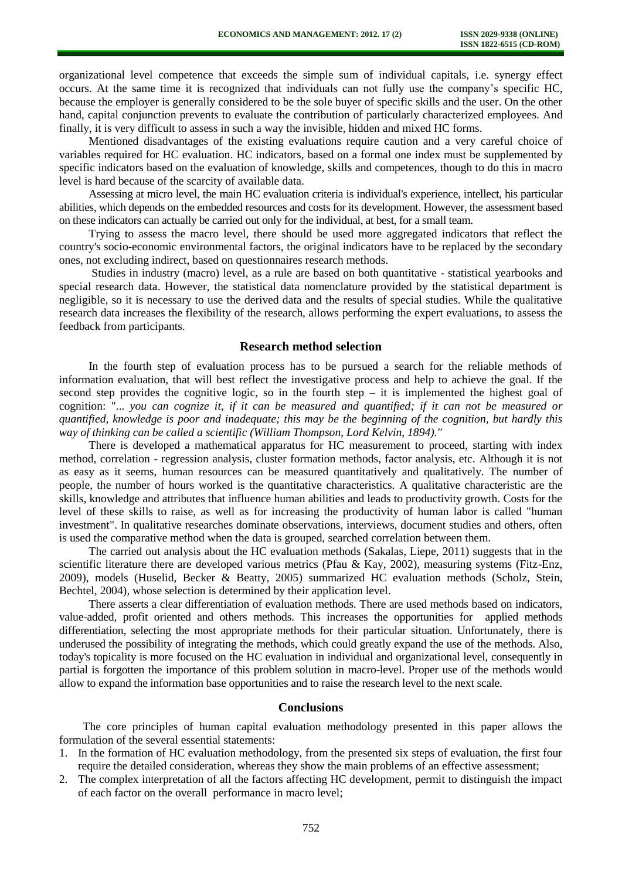organizational level competence that exceeds the simple sum of individual capitals, i.e. synergy effect occurs. At the same time it is recognized that individuals can not fully use the company's specific HC, because the employer is generally considered to be the sole buyer of specific skills and the user. On the other hand, capital conjunction prevents to evaluate the contribution of particularly characterized employees. And finally, it is very difficult to assess in such a way the invisible, hidden and mixed HC forms.

Mentioned disadvantages of the existing evaluations require caution and a very careful choice of variables required for HC evaluation. HC indicators, based on a formal one index must be supplemented by specific indicators based on the evaluation of knowledge, skills and competences, though to do this in macro level is hard because of the scarcity of available data.

Assessing at micro level, the main HC evaluation criteria is individual's experience, intellect, his particular abilities, which depends on the embedded resources and costs for its development. However, the assessment based on these indicators can actually be carried out only for the individual, at best, for a small team.

Trying to assess the macro level, there should be used more aggregated indicators that reflect the country's socio-economic environmental factors, the original indicators have to be replaced by the secondary ones, not excluding indirect, based on questionnaires research methods.

Studies in industry (macro) level, as a rule are based on both quantitative - statistical yearbooks and special research data. However, the statistical data nomenclature provided by the statistical department is negligible, so it is necessary to use the derived data and the results of special studies. While the qualitative research data increases the flexibility of the research, allows performing the expert evaluations, to assess the feedback from participants.

#### **Research method selection**

In the fourth step of evaluation process has to be pursued a search for the reliable methods of information evaluation, that will best reflect the investigative process and help to achieve the goal. If the second step provides the cognitive logic, so in the fourth step  $-$  it is implemented the highest goal of cognition: "... *you can cognize it, if it can be measured and quantified; if it can not be measured or quantified, knowledge is poor and inadequate; this may be the beginning of the cognition, but hardly this way of thinking can be called a scientific (William Thompson, Lord Kelvin, 1894)."*

There is developed a mathematical apparatus for HC measurement to proceed, starting with index method, correlation - regression analysis, cluster formation methods, factor analysis, etc. Although it is not as easy as it seems, human resources can be measured quantitatively and qualitatively. The number of people, the number of hours worked is the quantitative characteristics. A qualitative characteristic are the skills, knowledge and attributes that influence human abilities and leads to productivity growth. Costs for the level of these skills to raise, as well as for increasing the productivity of human labor is called "human investment". In qualitative researches dominate observations, interviews, document studies and others, often is used the comparative method when the data is grouped, searched correlation between them.

The carried out analysis about the HC evaluation methods (Sakalas, Liepe, 2011) suggests that in the scientific literature there are developed various metrics (Pfau & Kay, 2002), measuring systems (Fitz-Enz, 2009), models (Huselid, Becker & Beatty, 2005) summarized HC evaluation methods (Scholz, Stein, Bechtel, 2004), whose selection is determined by their application level.

There asserts a clear differentiation of evaluation methods. There are used methods based on indicators, value-added, profit oriented and others methods. This increases the opportunities for applied methods differentiation, selecting the most appropriate methods for their particular situation. Unfortunately, there is underused the possibility of integrating the methods, which could greatly expand the use of the methods. Also, today's topicality is more focused on the HC evaluation in individual and organizational level, consequently in partial is forgotten the importance of this problem solution in macro-level. Proper use of the methods would allow to expand the information base opportunities and to raise the research level to the next scale.

#### **Conclusions**

The core principles of human capital evaluation methodology presented in this paper allows the formulation of the several essential statements:

- 1. In the formation of HC evaluation methodology, from the presented six steps of evaluation, the first four require the detailed consideration, whereas they show the main problems of an effective assessment;
- 2. The complex interpretation of all the factors affecting HC development, permit to distinguish the impact of each factor on the overall performance in macro level;